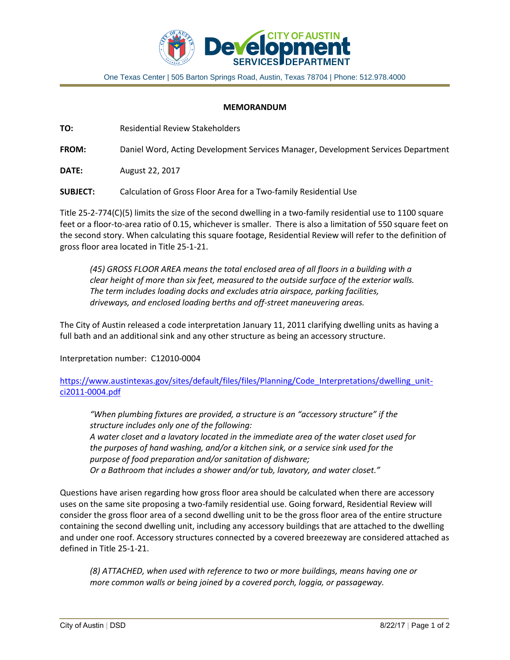

One Texas Center | 505 Barton Springs Road, Austin, Texas 78704 | Phone: 512.978.4000

## **MEMORANDUM**

**TO:** Residential Review Stakeholders

**FROM:** Daniel Word, Acting Development Services Manager, Development Services Department

**DATE:** August 22, 2017

**SUBJECT:** Calculation of Gross Floor Area for a Two-family Residential Use

Title 25-2-774(C)(5) limits the size of the second dwelling in a two-family residential use to 1100 square feet or a floor-to-area ratio of 0.15, whichever is smaller. There is also a limitation of 550 square feet on the second story. When calculating this square footage, Residential Review will refer to the definition of gross floor area located in Title 25-1-21.

*(45) GROSS FLOOR AREA means the total enclosed area of all floors in a building with a clear height of more than six feet, measured to the outside surface of the exterior walls. The term includes loading docks and excludes atria airspace, parking facilities, driveways, and enclosed loading berths and off-street maneuvering areas.*

The City of Austin released a code interpretation January 11, 2011 clarifying dwelling units as having a full bath and an additional sink and any other structure as being an accessory structure.

Interpretation number: C12010-0004

[https://www.austintexas.gov/sites/default/files/files/Planning/Code\\_Interpretations/dwelling\\_unit](https://www.austintexas.gov/sites/default/files/files/Planning/Code_Interpretations/dwelling_unit-ci2011-0004.pdf)[ci2011-0004.pdf](https://www.austintexas.gov/sites/default/files/files/Planning/Code_Interpretations/dwelling_unit-ci2011-0004.pdf)

*"When plumbing fixtures are provided, a structure is an "accessory structure" if the structure includes only one of the following: A water closet and a lavatory located in the immediate area of the water closet used for the purposes of hand washing, and/or a kitchen sink, or a service sink used for the purpose of food preparation and/or sanitation of dishware; Or a Bathroom that includes a shower and/or tub, lavatory, and water closet."*

Questions have arisen regarding how gross floor area should be calculated when there are accessory uses on the same site proposing a two-family residential use. Going forward, Residential Review will consider the gross floor area of a second dwelling unit to be the gross floor area of the entire structure containing the second dwelling unit, including any accessory buildings that are attached to the dwelling and under one roof. Accessory structures connected by a covered breezeway are considered attached as defined in Title 25-1-21.

*(8) ATTACHED, when used with reference to two or more buildings, means having one or more common walls or being joined by a covered porch, loggia, or passageway.*